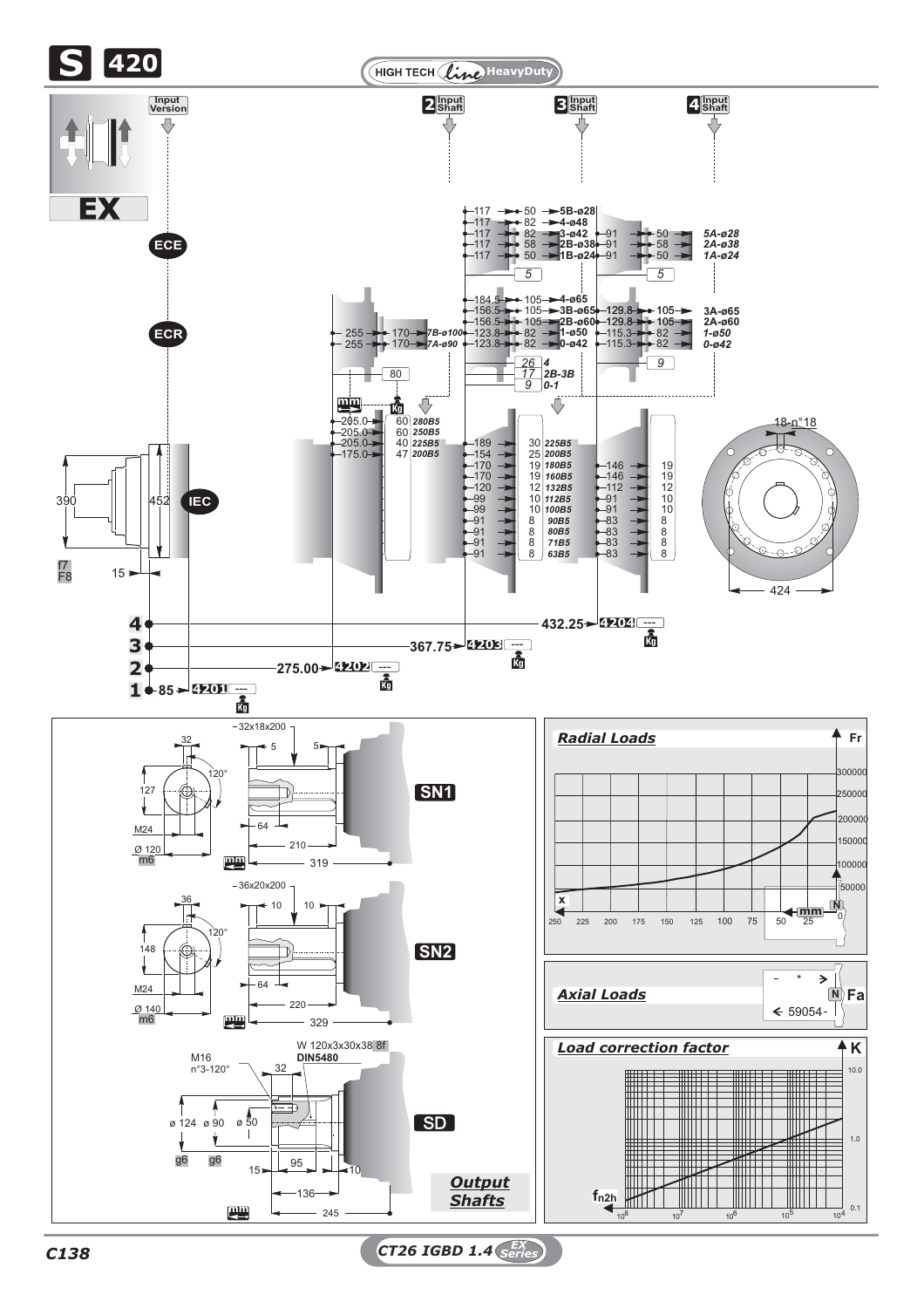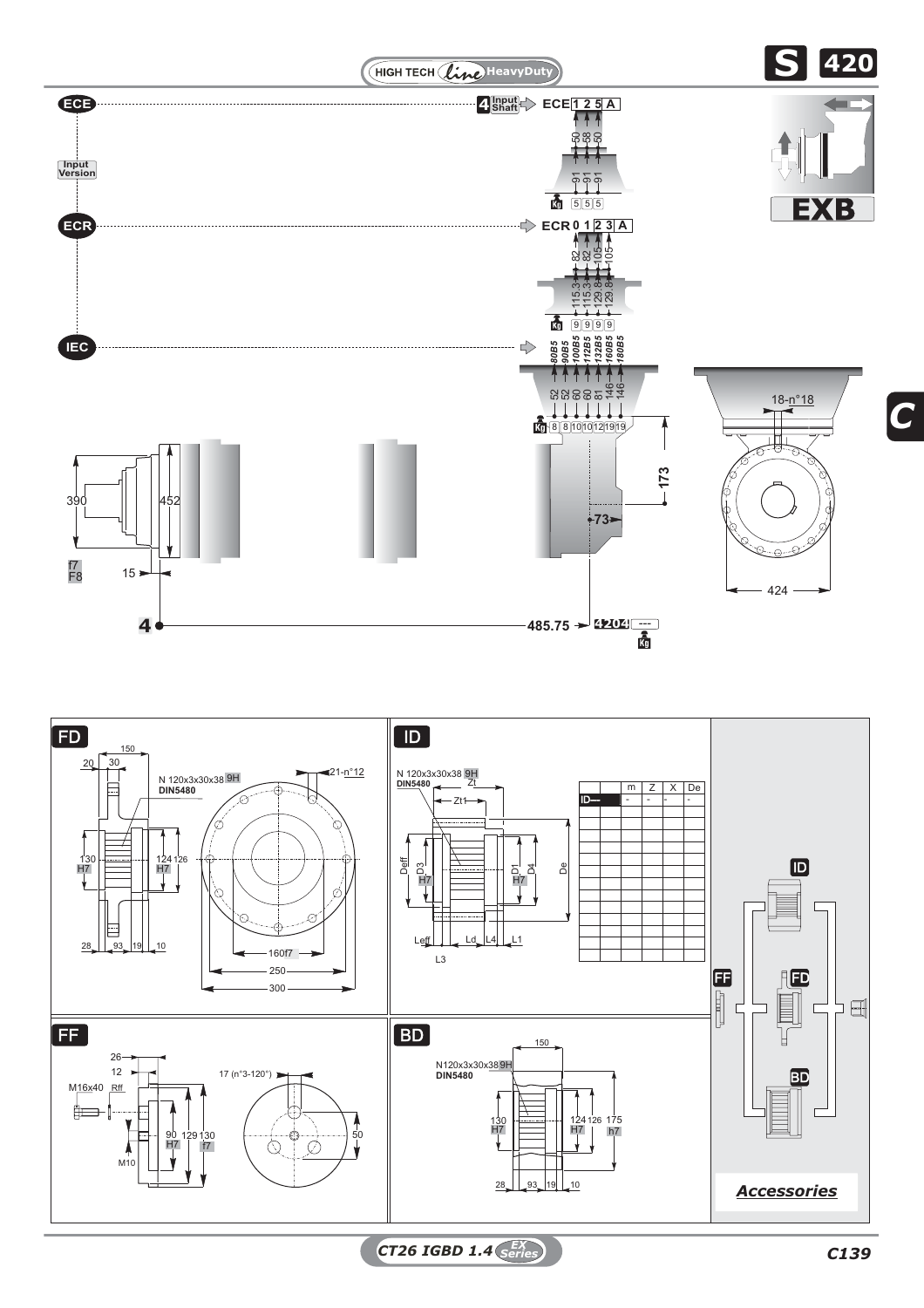



*CT26 IGBD 1.4 C139 EX Series*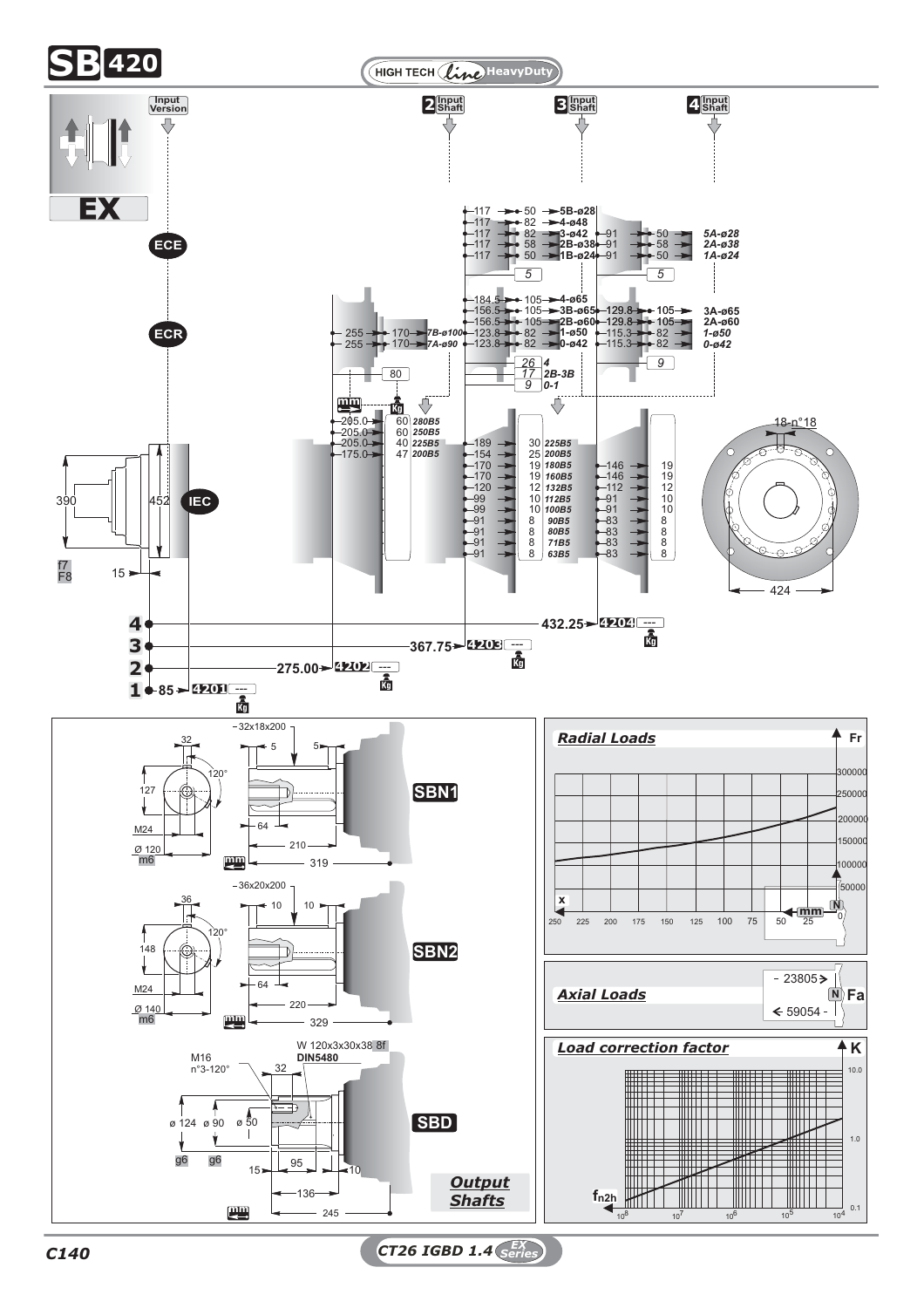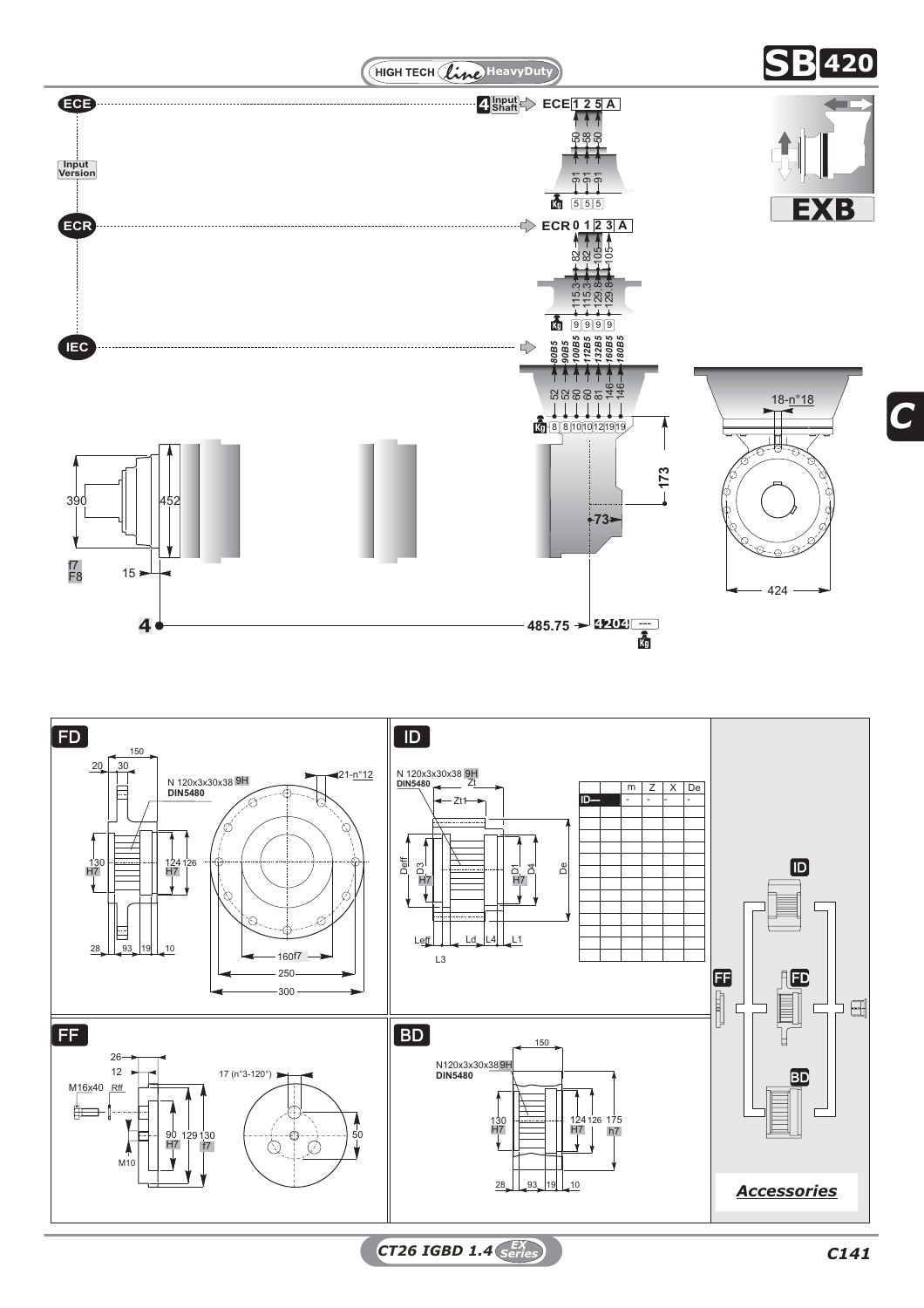



*CT26 IGBD 1.4 C141 EX Series*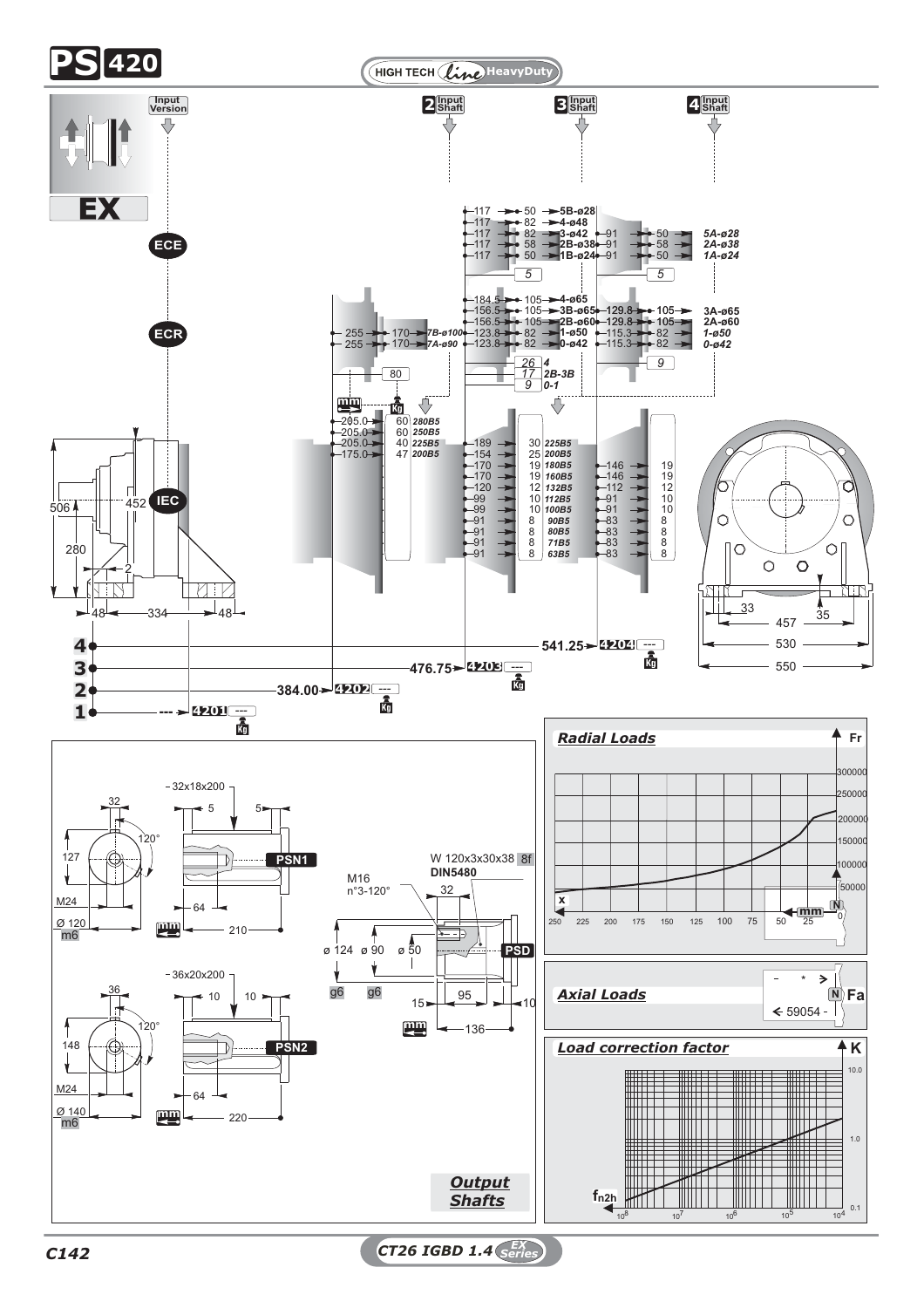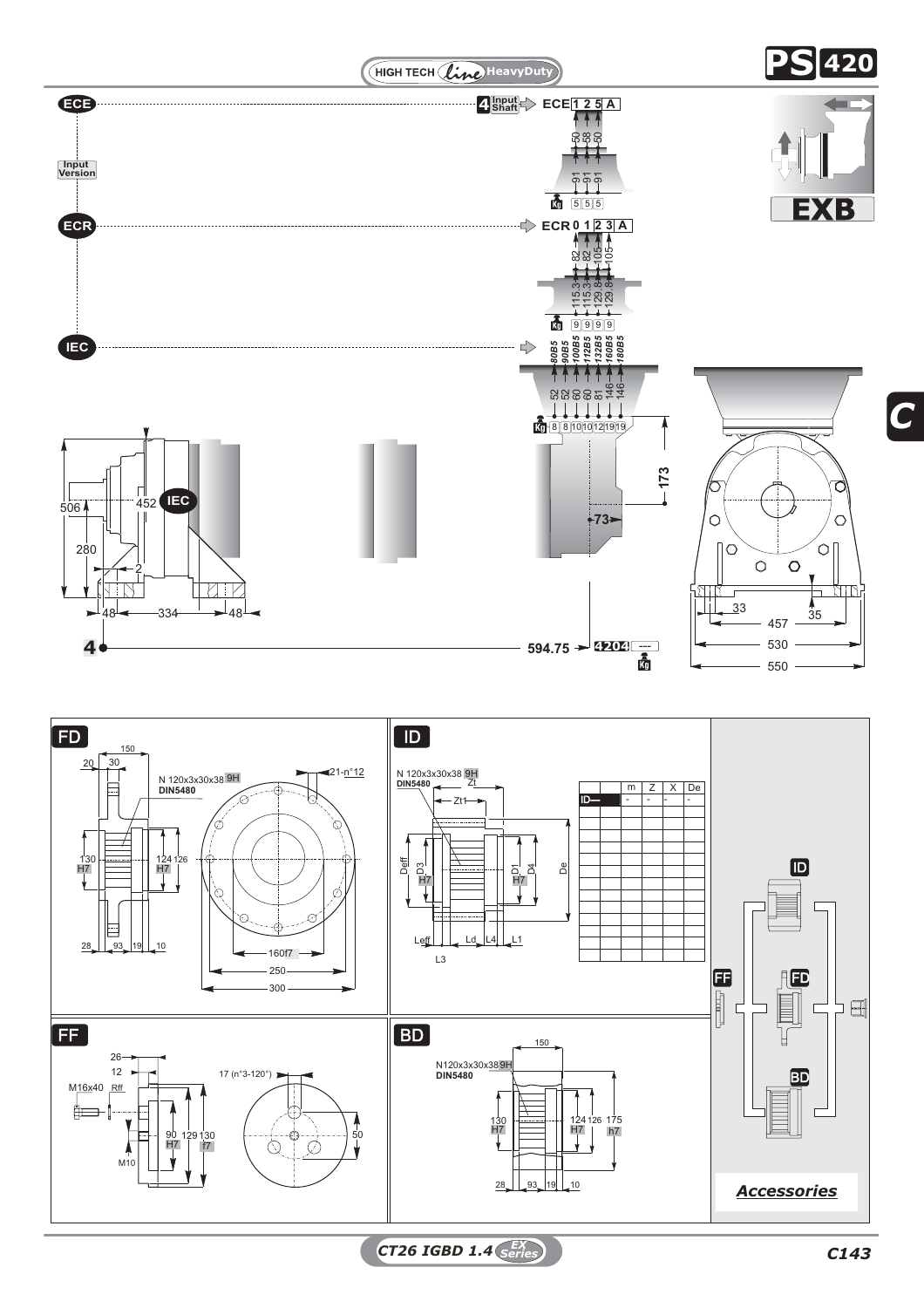

*CT26 IGBD 1.4 C143 EX Series*

28

 $93$  19 10  $|19|$ 

*Accessories*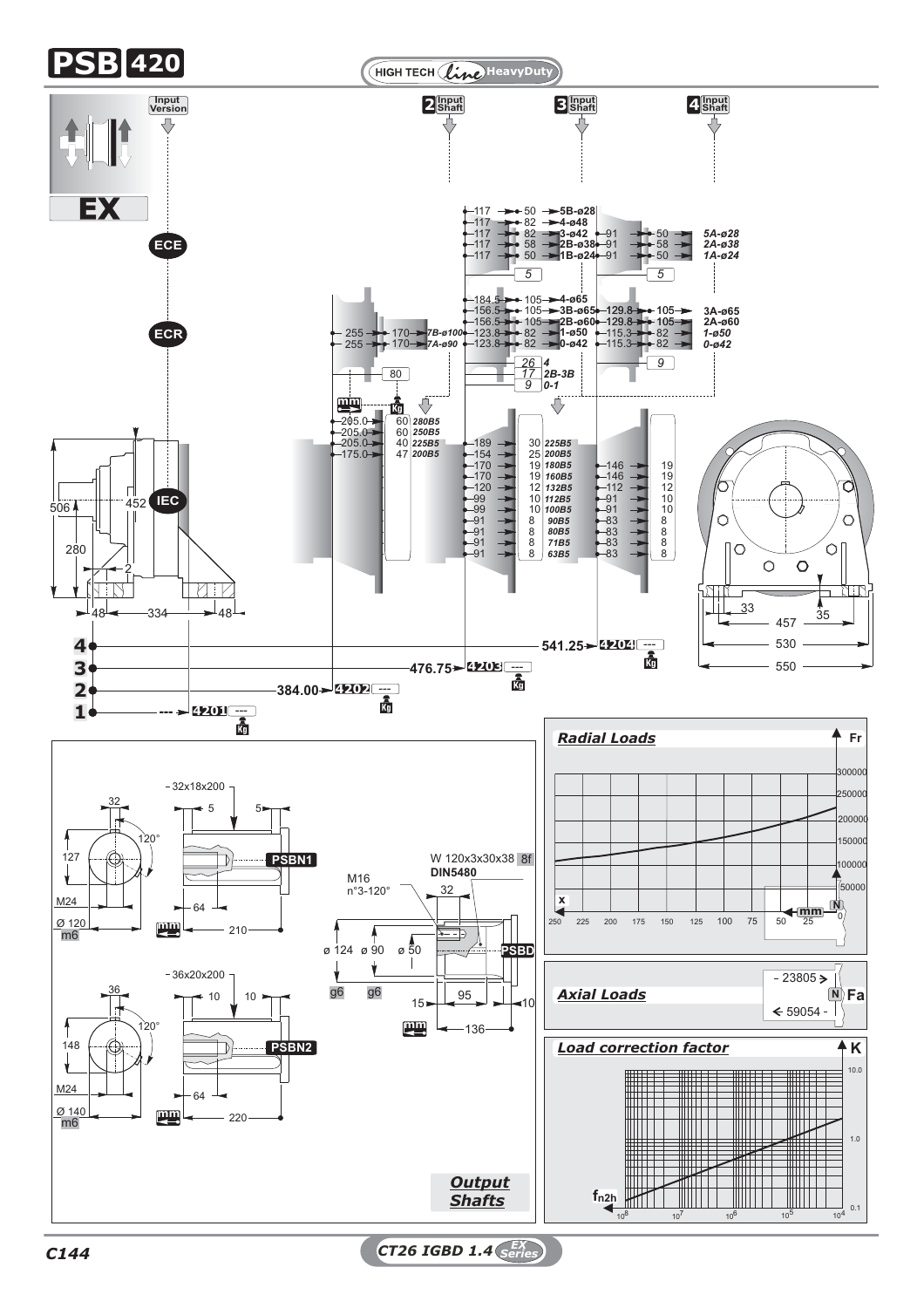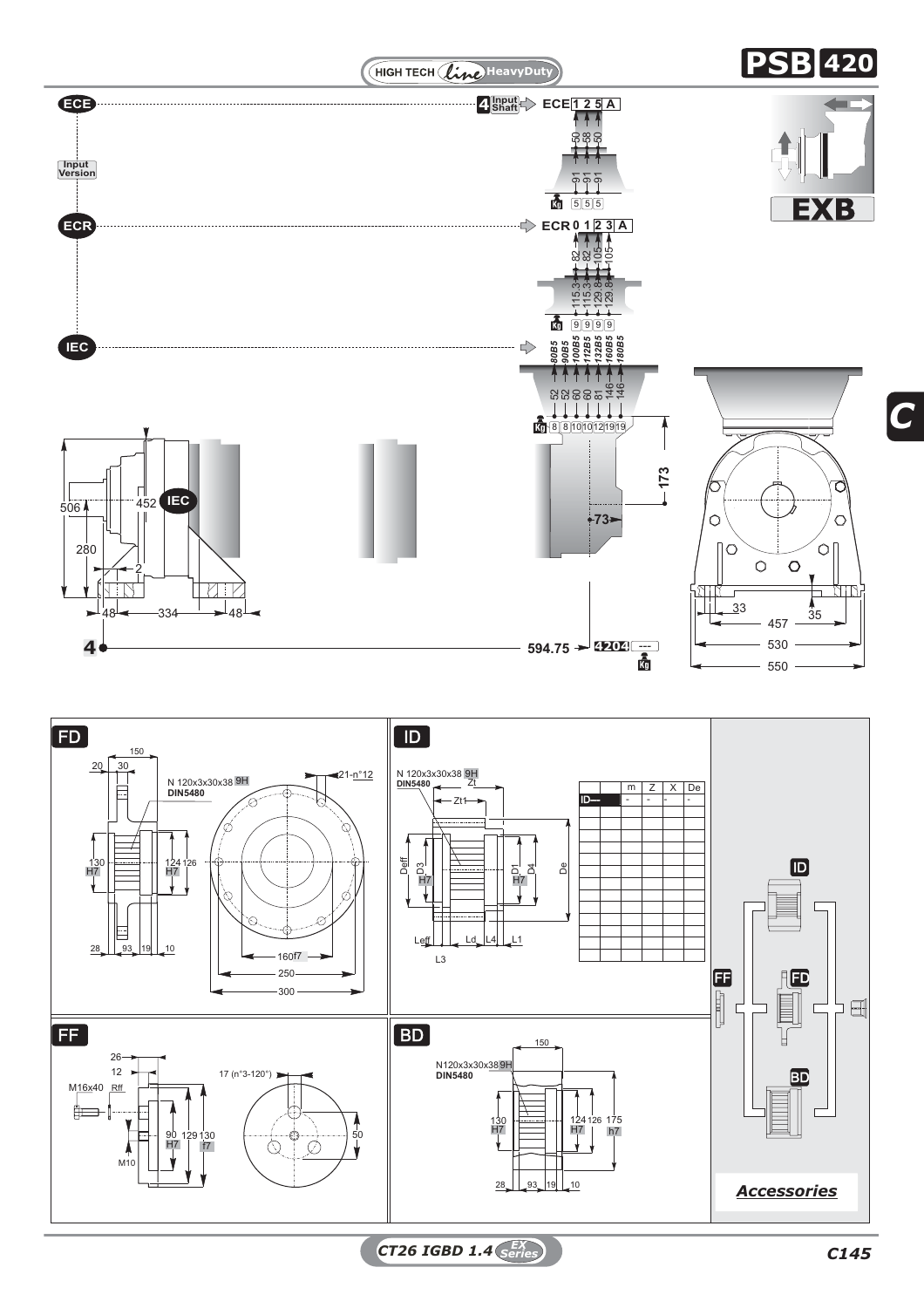

*CT26 IGBD 1.4 C145 EX Series*

*C*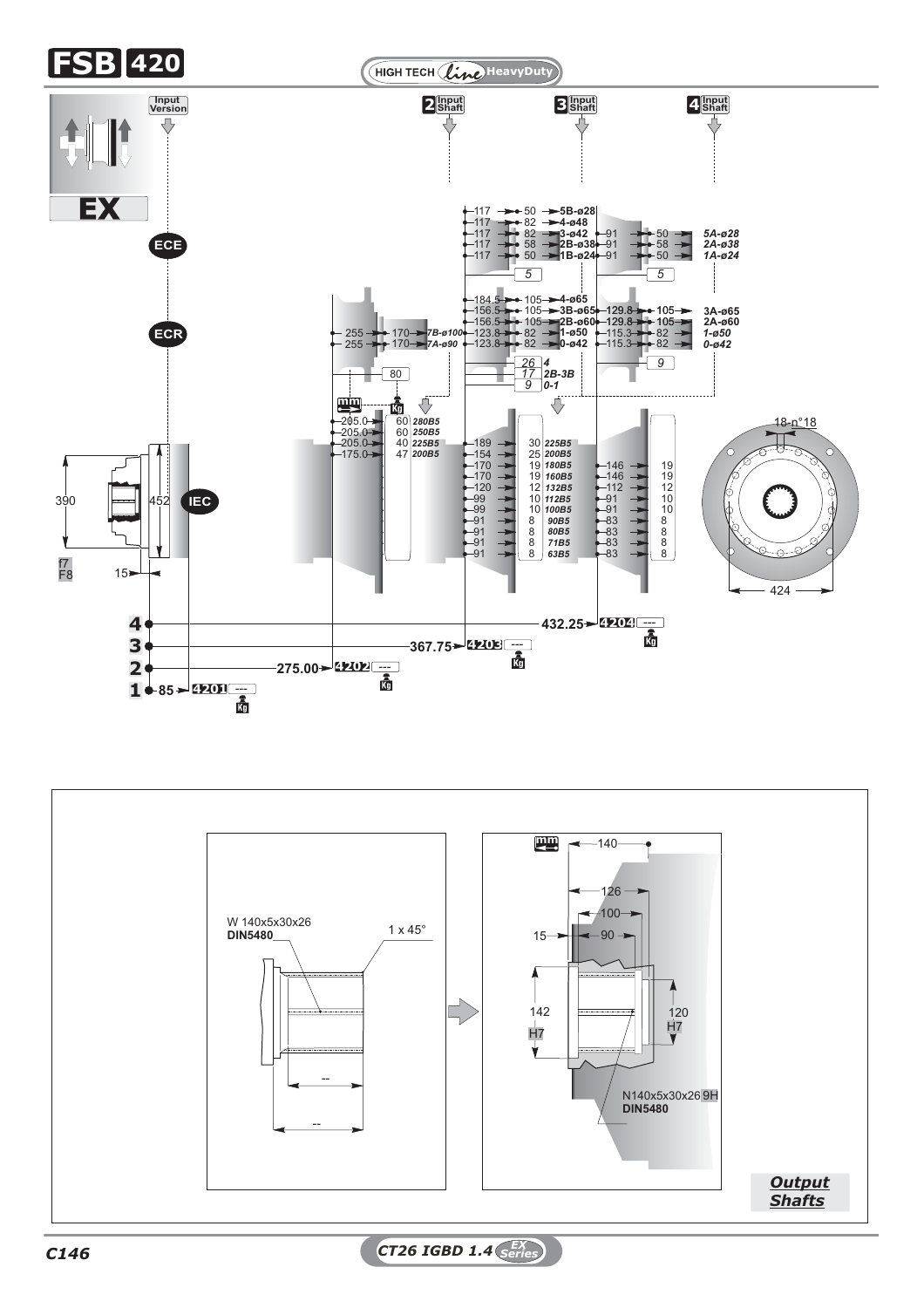

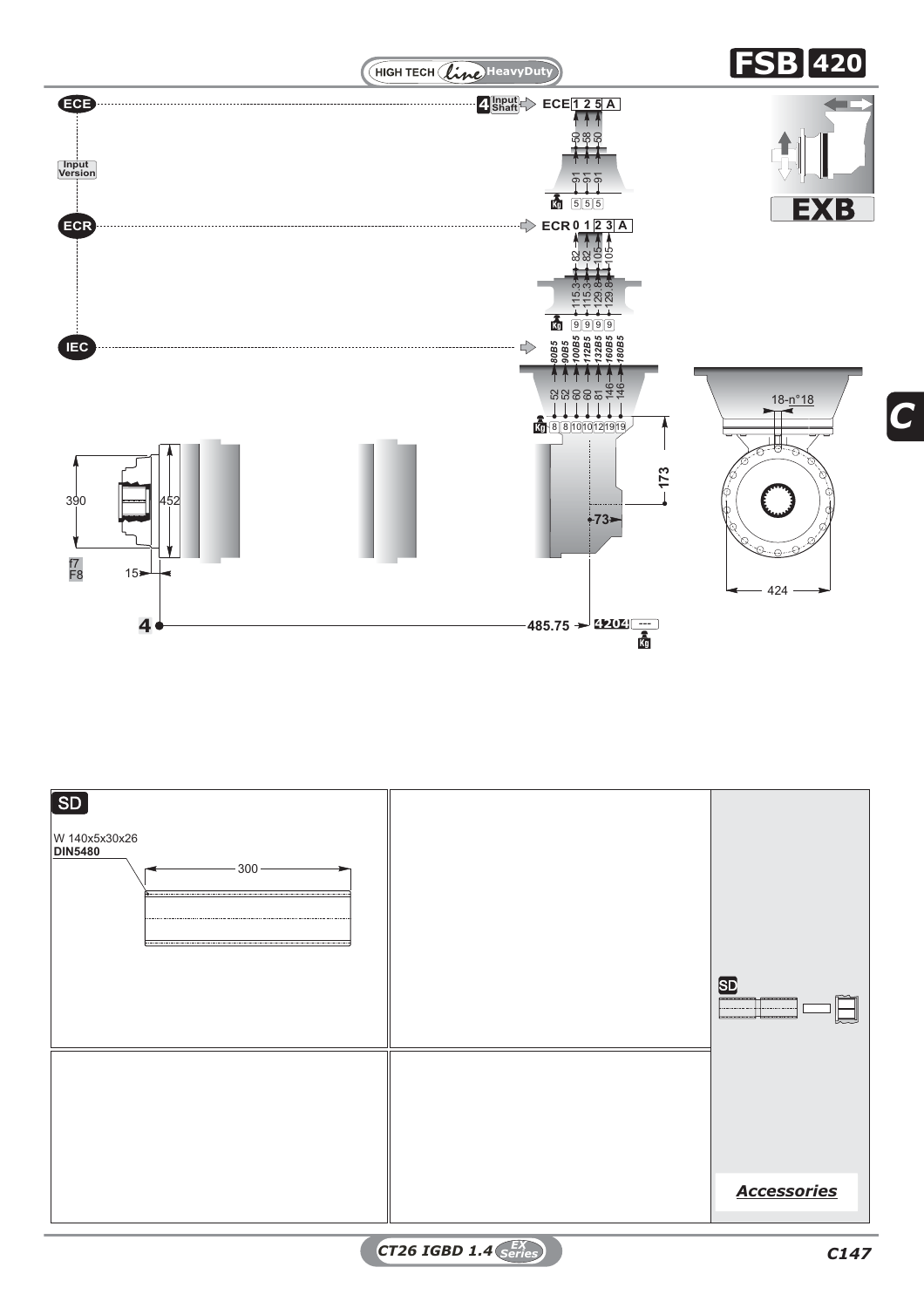



*CT26 IGBD 1.4 C147 EX Series*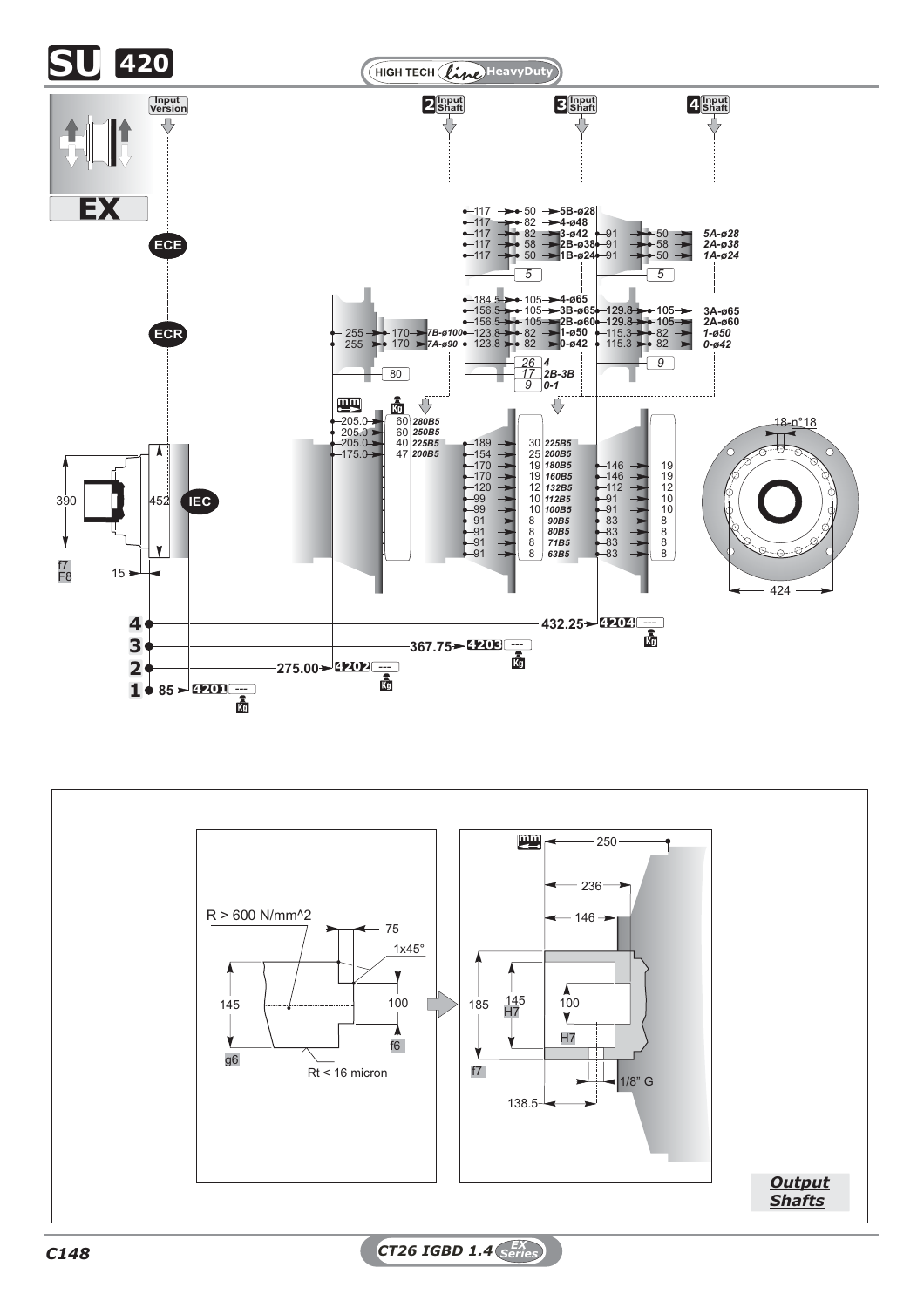



*C148 CT26 IGBD 1.4 EX Series*